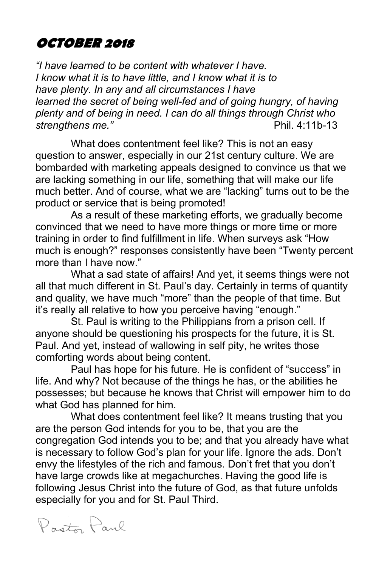# **OCTOBER 2018**

*"I have learned to be content with whatever I have. I know what it is to have little, and I know what it is to have plenty. In any and all circumstances I have learned the secret of being well-fed and of going hungry, of having plenty and of being in need. I can do all things through Christ who strengthens me."* Phil. 4:11b-13

What does contentment feel like? This is not an easy question to answer, especially in our 21st century culture. We are bombarded with marketing appeals designed to convince us that we are lacking something in our life, something that will make our life much better. And of course, what we are "lacking" turns out to be the product or service that is being promoted!

As a result of these marketing efforts, we gradually become convinced that we need to have more things or more time or more training in order to find fulfillment in life. When surveys ask "How much is enough?" responses consistently have been "Twenty percent more than I have now."

What a sad state of affairs! And yet, it seems things were not all that much different in St. Paul's day. Certainly in terms of quantity and quality, we have much "more" than the people of that time. But it's really all relative to how you perceive having "enough."

St. Paul is writing to the Philippians from a prison cell. If anyone should be questioning his prospects for the future, it is St. Paul. And yet, instead of wallowing in self pity, he writes those comforting words about being content.

Paul has hope for his future. He is confident of "success" in life. And why? Not because of the things he has, or the abilities he possesses; but because he knows that Christ will empower him to do what God has planned for him.

What does contentment feel like? It means trusting that you are the person God intends for you to be, that you are the congregation God intends you to be; and that you already have what is necessary to follow God's plan for your life. Ignore the ads. Don't envy the lifestyles of the rich and famous. Don't fret that you don't have large crowds like at megachurches. Having the good life is following Jesus Christ into the future of God, as that future unfolds especially for you and for St. Paul Third.

Proto Paul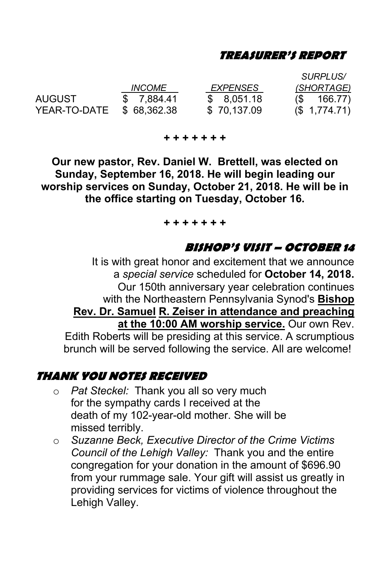#### **TREASURER'S REPORT**

*SURPLUS/ INCOME EXPENSES (SHORTAGE)* AUGUST \$ 7,884.41 \$ 8,051.18 (\$ 166.77) YEAR-TO-DATE \$ 68.362.38

**+ + + + + + +**

**Our new pastor, Rev. Daniel W. Brettell, was elected on Sunday, September 16, 2018. He will begin leading our worship services on Sunday, October 21, 2018. He will be in the office starting on Tuesday, October 16.** 

#### **+ + + + + + +**

#### **BISHOP'S VISIT – OCTOBER 14**

It is with great honor and excitement that we announce a *special service* scheduled for **October 14, 2018.** Our 150th anniversary year celebration continues with the Northeastern Pennsylvania Synod's **Bishop Rev. Dr. Samuel R. Zeiser in attendance and preaching at the 10:00 AM worship service.** Our own Rev. Edith Roberts will be presiding at this service. A scrumptious brunch will be served following the service. All are welcome!

#### **THANK YOU NOTES RECEIVED**

- o *Pat Steckel:* Thank you all so very much for the sympathy cards I received at the death of my 102-year-old mother. She will be missed terribly.
- o *Suzanne Beck, Executive Director of the Crime Victims Council of the Lehigh Valley:* Thank you and the entire congregation for your donation in the amount of \$696.90 from your rummage sale. Your gift will assist us greatly in providing services for victims of violence throughout the Lehigh Valley.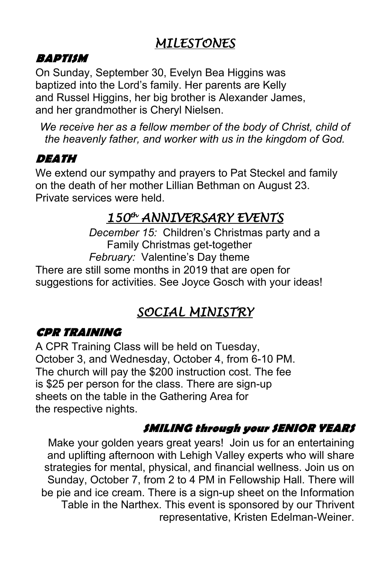# *MILESTONES*

#### **BAPTISM**

On Sunday, September 30, Evelyn Bea Higgins was baptized into the Lord's family. Her parents are Kelly and Russel Higgins, her big brother is Alexander James, and her grandmother is Cheryl Nielsen.

*We receive her as a fellow member of the body of Christ, child of the heavenly father, and worker with us in the kingdom of God.*

### **DEATH**

We extend our sympathy and prayers to Pat Steckel and family on the death of her mother Lillian Bethman on August 23. Private services were held.

# *150th ANNIVERSARY EVENTS*

 *December 15:* Children's Christmas party and a Family Christmas get-together  *February:* Valentine's Day theme

There are still some months in 2019 that are open for suggestions for activities. See Joyce Gosch with your ideas!

# *SOCIAL MINISTRY*

# **CPR TRAINING**

A CPR Training Class will be held on Tuesday, October 3, and Wednesday, October 4, from 6-10 PM. The church will pay the \$200 instruction cost. The fee is \$25 per person for the class. There are sign-up sheets on the table in the Gathering Area for the respective nights.

# **SMILING through your SENIOR YEARS**

Make your golden years great years! Join us for an entertaining and uplifting afternoon with Lehigh Valley experts who will share strategies for mental, physical, and financial wellness. Join us on Sunday, October 7, from 2 to 4 PM in Fellowship Hall. There will be pie and ice cream. There is a sign-up sheet on the Information Table in the Narthex. This event is sponsored by our Thrivent representative, Kristen Edelman-Weiner.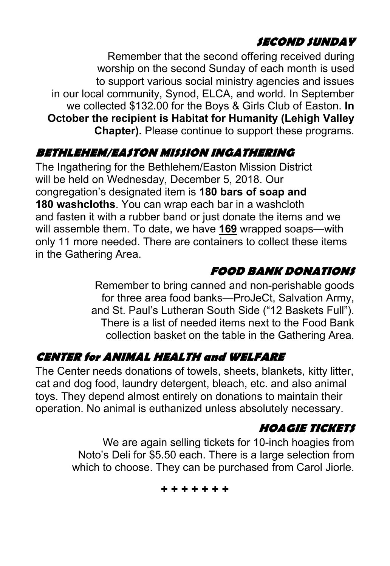# **SECOND SUNDAY**

Remember that the second offering received during worship on the second Sunday of each month is used to support various social ministry agencies and issues in our local community, Synod, ELCA, and world. In September we collected \$132.00 for the Boys & Girls Club of Easton. **In October the recipient is Habitat for Humanity (Lehigh Valley Chapter).** Please continue to support these programs.

# **BETHLEHEM/EASTON MISSION INGATHERING**

The Ingathering for the Bethlehem/Easton Mission District will be held on Wednesday, December 5, 2018. Our congregation's designated item is **180 bars of soap and 180 washcloths**. You can wrap each bar in a washcloth and fasten it with a rubber band or just donate the items and we will assemble them. To date, we have **169** wrapped soaps—with only 11 more needed. There are containers to collect these items in the Gathering Area.

### **FOOD BANK DONATIONS**

Remember to bring canned and non-perishable goods for three area food banks—ProJeCt, Salvation Army, and St. Paul's Lutheran South Side ("12 Baskets Full"). There is a list of needed items next to the Food Bank collection basket on the table in the Gathering Area.

# **CENTER for ANIMAL HEALTH and WELFARE**

The Center needs donations of towels, sheets, blankets, kitty litter, cat and dog food, laundry detergent, bleach, etc. and also animal toys. They depend almost entirely on donations to maintain their operation. No animal is euthanized unless absolutely necessary.

#### **HOAGIE TICKETS**

We are again selling tickets for 10-inch hoagies from Noto's Deli for \$5.50 each. There is a large selection from which to choose. They can be purchased from Carol Jiorle.

**+ + + + + + +**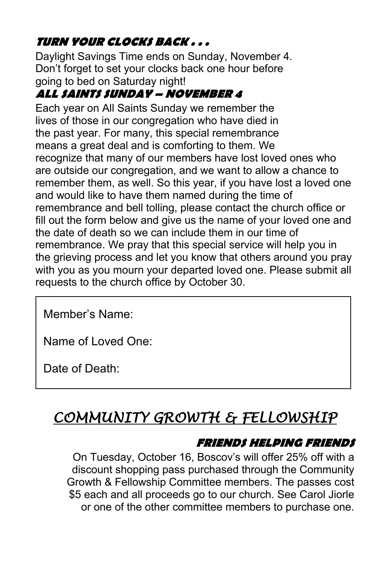#### **TURN YOUR CLOCKS BACK . . .**

Daylight Savings Time ends on Sunday, November 4. Don't forget to set your clocks back one hour before going to bed on Saturday night!

### **ALL SAINTS SUNDAY – NOVEMBER 4**

Each year on All Saints Sunday we remember the lives of those in our congregation who have died in the past year. For many, this special remembrance means a great deal and is comforting to them. We recognize that many of our members have lost loved ones who are outside our congregation, and we want to allow a chance to remember them, as well. So this year, if you have lost a loved one and would like to have them named during the time of remembrance and bell tolling, please contact the church office or fill out the form below and give us the name of your loved one and the date of death so we can include them in our time of remembrance. We pray that this special service will help you in the grieving process and let you know that others around you pray with you as you mourn your departed loved one. Please submit all requests to the church office by October 30.

Member's Name:

Name of Loved One:

Date of Death:

# *COMMUNITY GROWTH & FELLOWSHIP*

#### **FRIENDS HELPING FRIENDS**

On Tuesday, October 16, Boscov's will offer 25% off with a discount shopping pass purchased through the Community Growth & Fellowship Committee members. The passes cost \$5 each and all proceeds go to our church. See Carol Jiorle or one of the other committee members to purchase one.